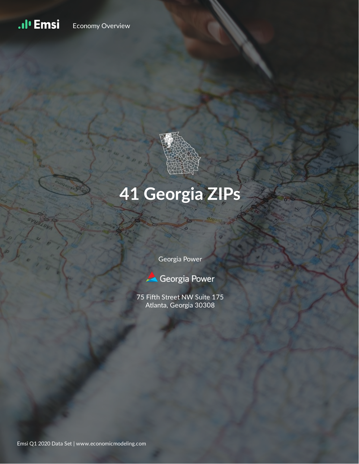#### .ıl<sup>ı</sup> Emsi Economy Overview



# **41 Georgia ZIPs**

Georgia Power



75 Fifth Street NW Suite 175 Atlanta, Georgia 30308

Emsi Q1 2020 Data Set | www.economicmodeling.com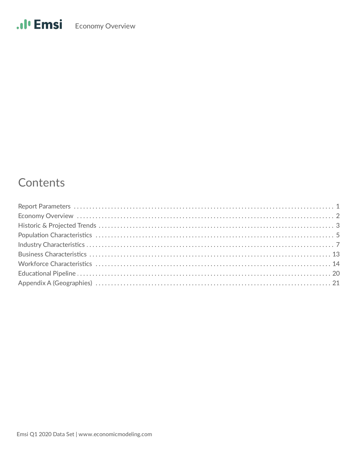# Contents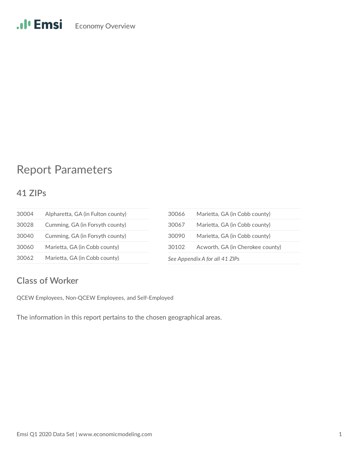# Report Parameters

### **41 ZIPs**

| 30004 | Alpharetta, GA (in Fulton county) | 30066            | Mari |
|-------|-----------------------------------|------------------|------|
| 30028 | Cumming, GA (in Forsyth county)   | 30067            | Mari |
| 30040 | Cumming, GA (in Forsyth county)   | 30090            | Mari |
| 30060 | Marietta, GA (in Cobb county)     | 30102            | Acw  |
| 30062 | Marietta, GA (in Cobb county)     | See Appendix A f |      |

| 30066 | Marietta, GA (in Cobb county)    |
|-------|----------------------------------|
| 30067 | Marietta, GA (in Cobb county)    |
| 30090 | Marietta, GA (in Cobb county)    |
| 30102 | Acworth, GA (in Cherokee county) |
|       | See Appendix A for all 41 ZIPs   |

### **Class of Worker**

QCEW Employees, Non-QCEW Employees, and Self-Employed

The information in this report pertains to the chosen geographical areas.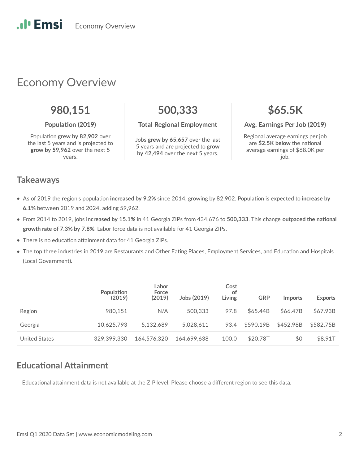# Economy Overview

# **980,151 500,333 \$65.5K**

Population grew by 82,902 over the last 5 years and is projected to **grow by 59,962** over the next 5 years.

#### **Population (2019) Total Regional Employment Avg. Earnings Per Job (2019)**

Jobs **grew by 65,657** over the last 5 years and are projected to **grow by 42,494** over the next 5 years.

Regional average earnings per job are \$2.5K below the national average earnings of \$68.0K per job.

### **Takeaways**

.**.** I' Emsi

- As of 2019 the region's population increased by 9.2% since 2014, growing by 82,902. Population is expected to increase by **6.1%** between 2019 and 2024, adding 59,962.
- From 2014 to 2019, jobs increased by 15.1% in 41 Georgia ZIPs from 434,676 to 500,333. This change outpaced the national **growth rate of 7.3% by 7.8%**. Labor force data is not available for 41 Georgia ZIPs.
- There is no education attainment data for 41 Georgia ZIPs.
- The top three industries in 2019 are Restaurants and Other Eating Places, Employment Services, and Education and Hospitals (Local Government).

|                      | Population<br>(2019) | Labor<br>Force<br>(2019) | Jobs (2019) | Cost<br>of<br>Living | <b>GRP</b> | <i>Imports</i> | <b>Exports</b> |
|----------------------|----------------------|--------------------------|-------------|----------------------|------------|----------------|----------------|
| Region               | 980.151              | N/A                      | 500,333     | 97.8                 | \$65.44B   | \$66.47B       | \$67.93B       |
| Georgia              | 10.625.793           | 5.132.689                | 5.028.611   | 93.4                 | \$590.19B  | \$452.98B      | \$582.75B      |
| <b>United States</b> | 329.399.330          | 164,576,320              | 164.699.638 | 100.0                | \$20.78T   | \$0            | \$8.91T        |

### **Educational Attainment**

Educational attainment data is not available at the ZIP level. Please choose a different region to see this data.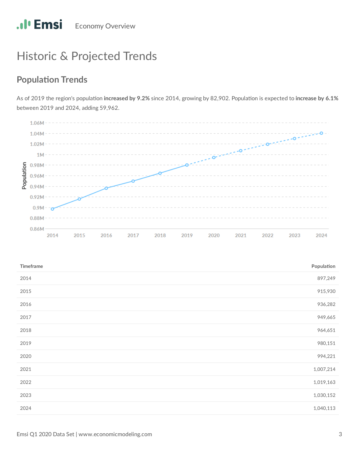# Historic & Projected Trends

## **Population Trends**

As of 2019 the region's population increased by 9.2% since 2014, growing by 82,902. Population is expected to increase by 6.1% between 2019 and 2024, adding 59,962.



| Timeframe | Population |
|-----------|------------|
| 2014      | 897,249    |
| 2015      | 915,930    |
| 2016      | 936,282    |
| 2017      | 949,665    |
| 2018      | 964,651    |
| 2019      | 980,151    |
| 2020      | 994,221    |
| 2021      | 1,007,214  |
| 2022      | 1,019,163  |
| 2023      | 1,030,152  |
| 2024      | 1,040,113  |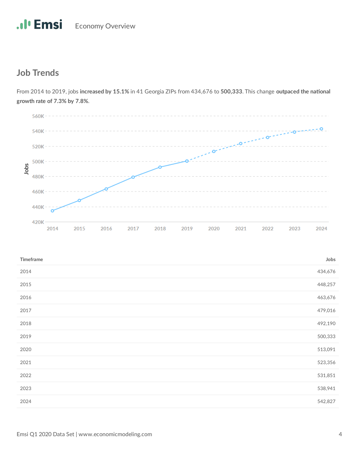### **Job Trends**

 $560K -$ 540K ö 520K 500K Jobs 480K 460K 440K 420K 2014 2015 2016 2017 2018 2019 2021 2022 2024 2020 2023

From 2014 to 2019, jobs increased by 15.1% in 41 Georgia ZIPs from 434,676 to 500,333. This change outpaced the national **growth rate of 7.3% by 7.8%**.

| Timeframe | Jobs    |
|-----------|---------|
| 2014      | 434,676 |
| 2015      | 448,257 |
| 2016      | 463,676 |
| 2017      | 479,016 |
| 2018      | 492,190 |
| 2019      | 500,333 |
| 2020      | 513,091 |
| 2021      | 523,356 |
| 2022      | 531,851 |
| 2023      | 538,941 |
| 2024      | 542,827 |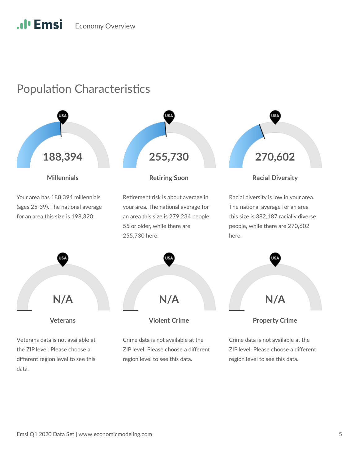# .<sup>1</sup> Emsi Economy Overview

# Population Characteristics

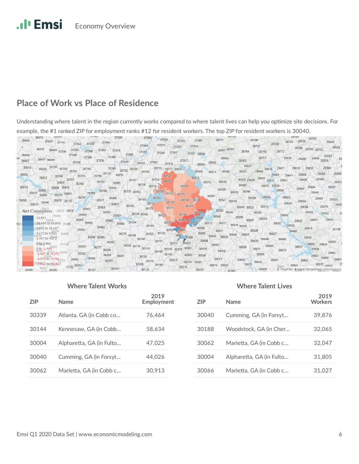### **Place of Work vs Place of Residence**

Understanding where talent in the region currently works compared to where talent lives can help you optimize site decisions. For example, the #1 ranked ZIP for employment ranks #12 for resident workers. The top ZIP for resident workers is 30040.



#### **Where Talent Works Where Talent Lives**

| <b>ZIP</b> | <b>Name</b>              | 2019<br>Employment | <b>ZIP</b> | <b>Name</b>              | 2019<br><b>Workers</b> |
|------------|--------------------------|--------------------|------------|--------------------------|------------------------|
| 30339      | Atlanta, GA (in Cobb co  | 76.464             | 30040      | Cumming, GA (in Forsyt   | 39.876                 |
| 30144      | Kennesaw, GA (in Cobb    | 58.634             | 30188      | Woodstock, GA (in Cher   | 32,065                 |
| 30004      | Alpharetta, GA (in Fulto | 47.025             | 30062      | Marietta, GA (in Cobb c  | 32,047                 |
| 30040      | Cumming, GA (in Forsyt   | 44.026             | 30004      | Alpharetta, GA (in Fulto | 31,805                 |
| 30062      | Marietta, GA (in Cobb c  | 30.913             | 30066      | Marietta, GA (in Cobb c  | 31,027                 |
|            |                          |                    |            |                          |                        |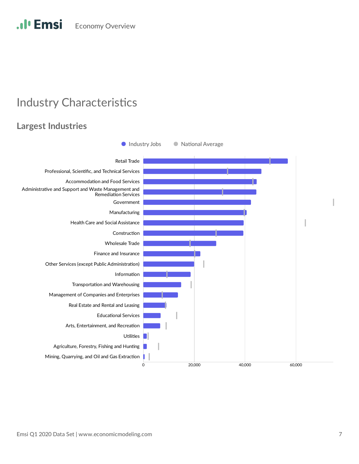# **Industry Characteristics**

### **Largest Industries**

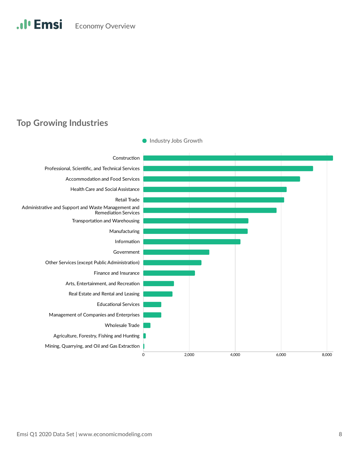### **Top Growing Industries**

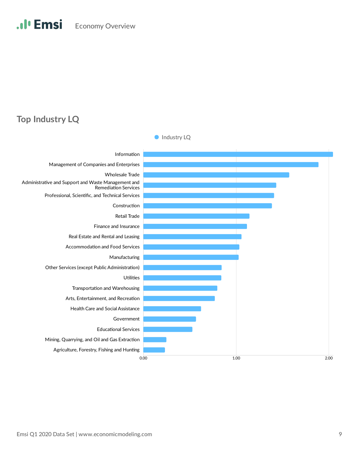### **Top Industry LQ**

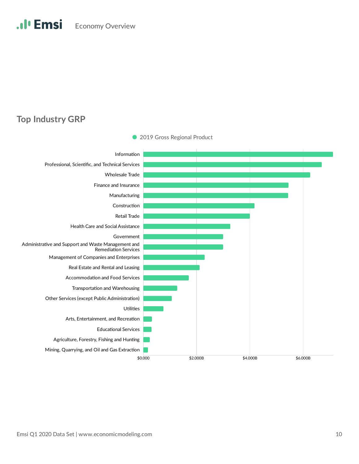### **Top Industry GRP**



• 2019 Gross Regional Product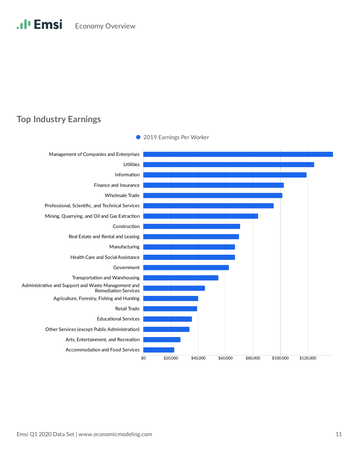### **Top Industry Earnings**



Emsi Q1 2020 Data Set | www.economicmodeling.com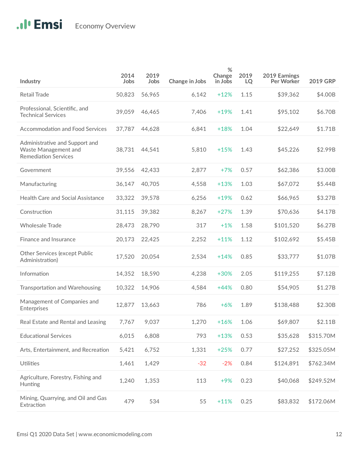| Industry                                                                              | 2014<br>Jobs | 2019<br>Jobs | Change in Jobs | %<br>Change<br>in Jobs | 2019<br>LQ | 2019 Earnings<br>Per Worker | <b>2019 GRP</b> |
|---------------------------------------------------------------------------------------|--------------|--------------|----------------|------------------------|------------|-----------------------------|-----------------|
| <b>Retail Trade</b>                                                                   | 50,823       | 56,965       | 6,142          | $+12%$                 | 1.15       | \$39,362                    | \$4.00B         |
| Professional, Scientific, and<br><b>Technical Services</b>                            | 39,059       | 46,465       | 7,406          | $+19%$                 | 1.41       | \$95,102                    | \$6.70B         |
| <b>Accommodation and Food Services</b>                                                | 37,787       | 44,628       | 6,841          | $+18%$                 | 1.04       | \$22,649                    | \$1.71B         |
| Administrative and Support and<br>Waste Management and<br><b>Remediation Services</b> | 38,731       | 44,541       | 5,810          | $+15%$                 | 1.43       | \$45,226                    | \$2.99B         |
| Government                                                                            | 39,556       | 42,433       | 2,877          | $+7%$                  | 0.57       | \$62,386                    | \$3.00B         |
| Manufacturing                                                                         | 36,147       | 40,705       | 4,558          | $+13%$                 | 1.03       | \$67,072                    | \$5.44B         |
| Health Care and Social Assistance                                                     | 33,322       | 39,578       | 6,256          | $+19%$                 | 0.62       | \$66,965                    | \$3.27B         |
| Construction                                                                          | 31,115       | 39,382       | 8,267          | $+27%$                 | 1.39       | \$70,636                    | \$4.17B         |
| <b>Wholesale Trade</b>                                                                | 28,473       | 28,790       | 317            | $+1%$                  | 1.58       | \$101,520                   | \$6.27B         |
| Finance and Insurance                                                                 | 20,173       | 22,425       | 2,252          | $+11%$                 | 1.12       | \$102,692                   | \$5.45B         |
| <b>Other Services (except Public</b><br>Administration)                               | 17,520       | 20,054       | 2,534          | $+14%$                 | 0.85       | \$33,777                    | \$1.07B         |
| Information                                                                           | 14,352       | 18,590       | 4,238          | $+30%$                 | 2.05       | \$119,255                   | \$7.12B         |
| Transportation and Warehousing                                                        | 10,322       | 14,906       | 4,584          | $+44%$                 | 0.80       | \$54,905                    | \$1.27B         |
| Management of Companies and<br>Enterprises                                            | 12,877       | 13,663       | 786            | $+6%$                  | 1.89       | \$138,488                   | \$2.30B         |
| Real Estate and Rental and Leasing                                                    | 7,767        | 9,037        | 1,270          | $+16%$                 | 1.06       | \$69,807                    | \$2.11B         |
| <b>Educational Services</b>                                                           | 6,015        | 6,808        | 793            | $+13%$                 | 0.53       | \$35,628                    | \$315.70M       |
| Arts, Entertainment, and Recreation                                                   | 5,421        | 6,752        | 1,331          | $+25%$                 | 0.77       | \$27,252                    | \$325.05M       |
| Utilities                                                                             | 1,461        | 1,429        | $-32$          | $-2%$                  | 0.84       | \$124,891                   | \$762.34M       |
| Agriculture, Forestry, Fishing and<br>Hunting                                         | 1,240        | 1,353        | 113            | $+9%$                  | 0.23       | \$40,068                    | \$249.52M       |
| Mining, Quarrying, and Oil and Gas<br>Extraction                                      | 479          | 534          | 55             | $+11%$                 | 0.25       | \$83,832                    | \$172.06M       |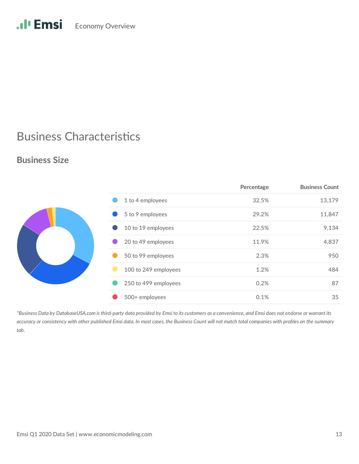# .Il<sup>.</sup> Emsi Economy Overview

# **Business Characteristics**

### **Business Size**

|  |                      | Percentage | <b>Business Count</b> |
|--|----------------------|------------|-----------------------|
|  | 1 to 4 employees     | 32.5%      | 13,179                |
|  | 5 to 9 employees     | 29.2%      | 11,847                |
|  | 10 to 19 employees   | 22.5%      | 9,134                 |
|  | 20 to 49 employees   | 11.9%      | 4,837                 |
|  | 50 to 99 employees   | 2.3%       | 950                   |
|  | 100 to 249 employees | 1.2%       | 484                   |
|  | 250 to 499 employees | 0.2%       | 87                    |
|  | 500+ employees       | 0.1%       | 35                    |

*\*Business Data by DatabaseUSA.com is third-party data provided by Emsi to its customers as a convenience, and Emsi does not endorse or warrant its accuracy or consistency with other published Emsi data. In most cases, the Business Count will not match total companies with profiles on the summary tab.*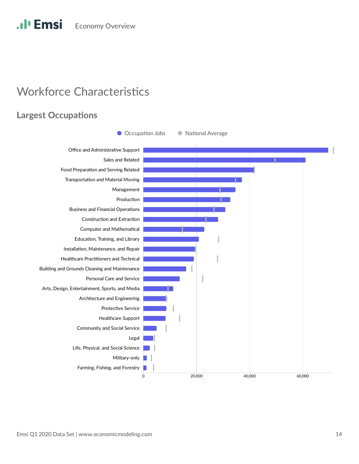#### .**.**I<sup>*l*</sup> Emsi **Economy Overview**

# **Workforce Characteristics**

### **Largest Occupations**

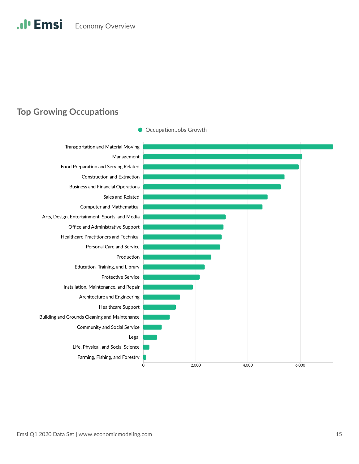### **Top Growing Occupations**

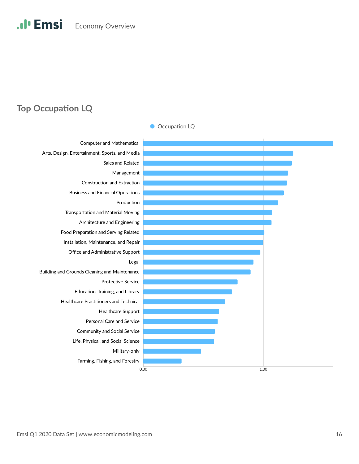### **Top Occupation LQ**

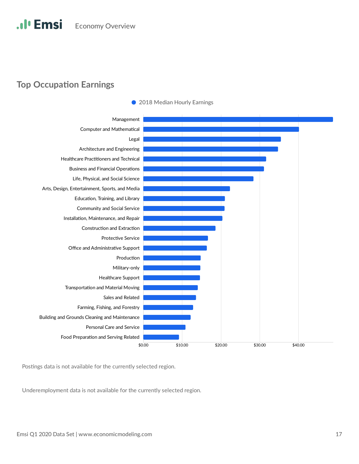### **Top Occupation Earnings**



• 2018 Median Hourly Earnings

Postings data is not available for the currently selected region.

Underemployment data is not available for the currently selected region.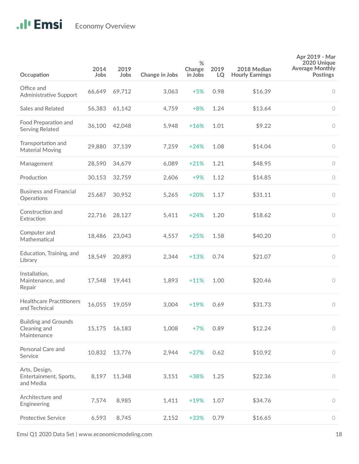| Occupation                                                 | 2014<br>Jobs | 2019<br>Jobs | Change in Jobs | %<br>Change<br>in Jobs | 2019<br>LQ | 2018 Median<br><b>Hourly Earnings</b> | Apr 2019 - Mar<br>2020 Unique<br><b>Average Monthly</b><br><b>Postings</b> |
|------------------------------------------------------------|--------------|--------------|----------------|------------------------|------------|---------------------------------------|----------------------------------------------------------------------------|
| Office and<br>Administrative Support                       | 66,649       | 69,712       | 3,063          | $+5%$                  | 0.98       | \$16.39                               | $\circ$                                                                    |
| <b>Sales and Related</b>                                   | 56,383       | 61,142       | 4,759          | $+8%$                  | 1.24       | \$13.64                               | $\circ$                                                                    |
| Food Preparation and<br>Serving Related                    | 36,100       | 42,048       | 5,948          | $+16%$                 | 1.01       | \$9.22                                | $\circ$                                                                    |
| Transportation and<br><b>Material Moving</b>               | 29,880       | 37,139       | 7,259          | $+24%$                 | 1.08       | \$14.04                               | $\circ$                                                                    |
| Management                                                 | 28,590       | 34,679       | 6,089          | $+21%$                 | 1.21       | \$48.95                               | $\circ$                                                                    |
| Production                                                 | 30,153       | 32,759       | 2,606          | $+9%$                  | 1.12       | \$14.85                               | $\circ$                                                                    |
| <b>Business and Financial</b><br>Operations                | 25,687       | 30,952       | 5,265          | $+20%$                 | 1.17       | \$31.11                               | $\bigcirc$                                                                 |
| Construction and<br>Extraction                             | 22,716       | 28,127       | 5,411          | $+24%$                 | 1.20       | \$18.62                               | $\bigcirc$                                                                 |
| Computer and<br>Mathematical                               | 18,486       | 23,043       | 4,557          | $+25%$                 | 1.58       | \$40.20                               | $\circ$                                                                    |
| Education, Training, and<br>Library                        | 18,549       | 20,893       | 2,344          | $+13%$                 | 0.74       | \$21.07                               | $\circ$                                                                    |
| Installation,<br>Maintenance, and<br>Repair                | 17,548       | 19,441       | 1,893          | $+11%$                 | 1.00       | \$20.46                               | $\circ$                                                                    |
| <b>Healthcare Practitioners</b><br>and Technical           | 16,055       | 19,059       | 3,004          | $+19%$                 | 0.69       | \$31.73                               | 0                                                                          |
| <b>Building and Grounds</b><br>Cleaning and<br>Maintenance | 15,175       | 16,183       | 1,008          | $+7%$                  | 0.89       | \$12.24                               | $\circ$                                                                    |
| Personal Care and<br>Service                               | 10,832       | 13,776       | 2,944          | $+27%$                 | 0.62       | \$10.92                               | $\circ$                                                                    |
| Arts, Design,<br>Entertainment, Sports,<br>and Media       | 8,197        | 11,348       | 3,151          | $+38%$                 | 1.25       | \$22.36                               | $\circ$                                                                    |
| Architecture and<br>Engineering                            | 7,574        | 8,985        | 1,411          | $+19%$                 | 1.07       | \$34.76                               | $\circ$                                                                    |
| <b>Protective Service</b>                                  | 6,593        | 8,745        | 2,152          | $+33%$                 | 0.79       | \$16.65                               | $\circ$                                                                    |

Emsi Q1 2020 Data Set | www.economicmodeling.com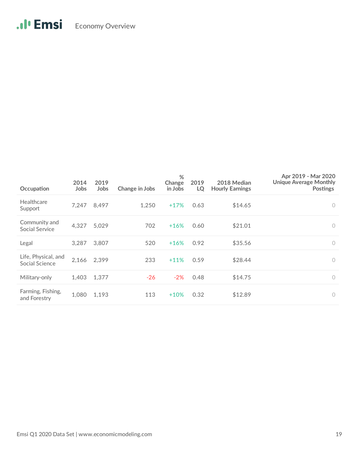| Occupation                            | 2014<br>Jobs | 2019<br>Jobs | Change in Jobs | %<br>Change<br>in Jobs | 2019<br>LQ | 2018 Median<br><b>Hourly Earnings</b> | Apr 2019 - Mar 2020<br><b>Unique Average Monthly</b><br><b>Postings</b> |
|---------------------------------------|--------------|--------------|----------------|------------------------|------------|---------------------------------------|-------------------------------------------------------------------------|
| Healthcare<br>Support                 | 7,247        | 8,497        | 1,250          | $+17%$                 | 0.63       | \$14.65                               | $\circ$                                                                 |
| Community and<br>Social Service       | 4,327        | 5,029        | 702            | $+16%$                 | 0.60       | \$21.01                               | $\circ$                                                                 |
| Legal                                 | 3,287        | 3,807        | 520            | $+16%$                 | 0.92       | \$35.56                               | $\circ$                                                                 |
| Life, Physical, and<br>Social Science | 2,166        | 2,399        | 233            | $+11%$                 | 0.59       | \$28.44                               | $\overline{0}$                                                          |
| Military-only                         | 1,403        | 1,377        | $-26$          | $-2%$                  | 0.48       | \$14.75                               | $\circ$                                                                 |
| Farming, Fishing,<br>and Forestry     | 1,080        | 1,193        | 113            | $+10%$                 | 0.32       | \$12.89                               | $\circ$                                                                 |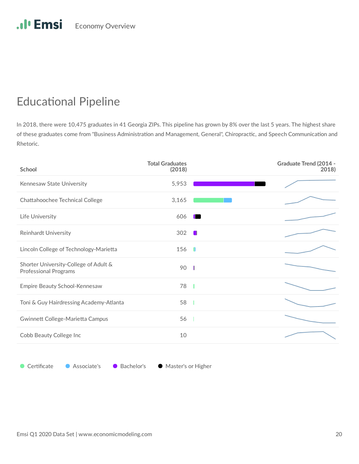# **Educational Pipeline**

In 2018, there were 10,475 graduates in 41 Georgia ZIPs. This pipeline has grown by 8% over the last 5 years. The highest share of these graduates come from "Business Administration and Management, General", Chiropractic, and Speech Communication and Rhetoric.

| School                                                                | <b>Total Graduates</b><br>(2018) | <b>Graduate Trend (2014 -</b><br>2018) |
|-----------------------------------------------------------------------|----------------------------------|----------------------------------------|
| Kennesaw State University                                             | 5,953                            |                                        |
| Chattahoochee Technical College                                       | 3,165                            |                                        |
| Life University                                                       | 606                              |                                        |
| <b>Reinhardt University</b>                                           | 302                              |                                        |
| Lincoln College of Technology-Marietta                                | 156                              |                                        |
| Shorter University-College of Adult &<br><b>Professional Programs</b> | 90                               | - 1                                    |
| Empire Beauty School-Kennesaw                                         | 78                               |                                        |
| Toni & Guy Hairdressing Academy-Atlanta                               | 58                               |                                        |
| Gwinnett College-Marietta Campus                                      | 56                               |                                        |
| Cobb Beauty College Inc                                               | 10                               |                                        |

● Certificate ● Associate's ● Bachelor's ● Master's or Higher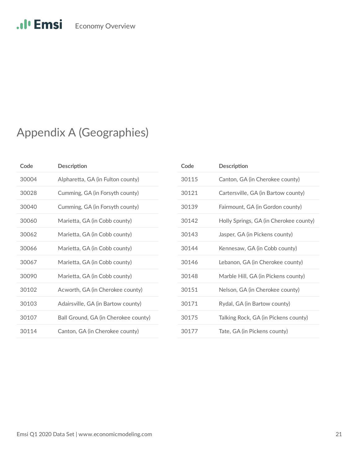# .Il<sup>1</sup> Emsi Economy Overview

# Appendix A (Geographies)

| Code  | Description                          |
|-------|--------------------------------------|
| 30004 | Alpharetta, GA (in Fulton county)    |
| 30028 | Cumming, GA (in Forsyth county)      |
| 30040 | Cumming, GA (in Forsyth county)      |
| 30060 | Marietta, GA (in Cobb county)        |
| 30062 | Marietta, GA (in Cobb county)        |
| 30066 | Marietta, GA (in Cobb county)        |
| 30067 | Marietta, GA (in Cobb county)        |
| 30090 | Marietta, GA (in Cobb county)        |
| 30102 | Acworth, GA (in Cherokee county)     |
| 30103 | Adairsville, GA (in Bartow county)   |
| 30107 | Ball Ground, GA (in Cherokee county) |
| 30114 | Canton, GA (in Cherokee county)      |

| Code  | <b>Description</b>                     |
|-------|----------------------------------------|
| 30115 | Canton, GA (in Cherokee county)        |
| 30121 | Cartersville, GA (in Bartow county)    |
| 30139 | Fairmount, GA (in Gordon county)       |
| 30142 | Holly Springs, GA (in Cherokee county) |
| 30143 | Jasper, GA (in Pickens county)         |
| 30144 | Kennesaw, GA (in Cobb county)          |
| 30146 | Lebanon, GA (in Cherokee county)       |
| 30148 | Marble Hill, GA (in Pickens county)    |
| 30151 | Nelson, GA (in Cherokee county)        |
| 30171 | Rydal, GA (in Bartow county)           |
| 30175 | Talking Rock, GA (in Pickens county)   |
| 30177 | Tate, GA (in Pickens county)           |